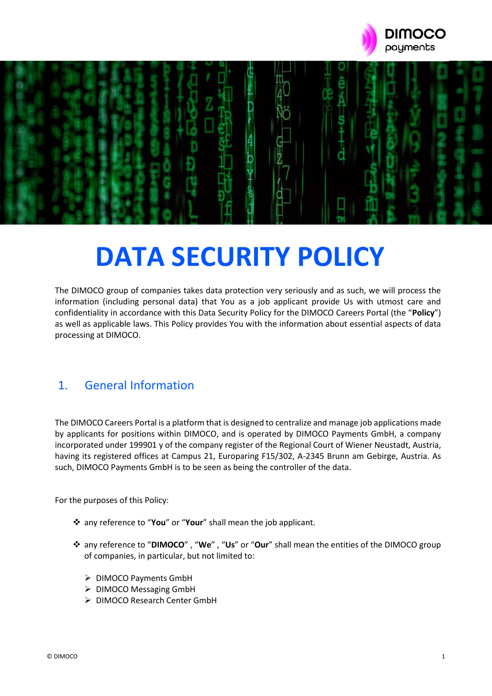



# **DATA SECURITY POLICY**

The DIMOCO group of companies takes data protection very seriously and as such, we will process the information (including personal data) that You as a job applicant provide Us with utmost care and confidentiality in accordance with this Data Security Policy for the DIMOCO Careers Portal (the "**Policy**") as well as applicable laws. This Policy provides You with the information about essential aspects of data processing at DIMOCO.

## 1. General Information

The DIMOCO Careers Portal is a platform that is designed to centralize and manage job applications made by applicants for positions within DIMOCO, and is operated by DIMOCO Payments GmbH, a company incorporated under 199901 y of the company register of the Regional Court of Wiener Neustadt, Austria, having its registered offices at Campus 21, Europaring F15/302, A-2345 Brunn am Gebirge, Austria. As such, DIMOCO Payments GmbH is to be seen as being the controller of the data.

For the purposes of this Policy:

- ❖ any reference to "**You**" or "**Your**" shall mean the job applicant.
- ❖ any reference to "**DIMOCO**" , "**We**" , "**Us**" or "**Our**" shall mean the entities of the DIMOCO group of companies, in particular, but not limited to:
	- ➢ DIMOCO Payments GmbH
	- ➢ DIMOCO Messaging GmbH
	- ➢ DIMOCO Research Center GmbH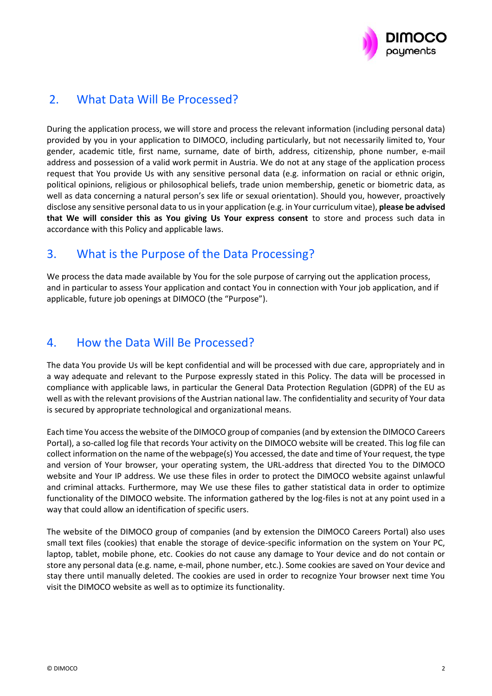

# 2. What Data Will Be Processed?

During the application process, we will store and process the relevant information (including personal data) provided by you in your application to DIMOCO, including particularly, but not necessarily limited to, Your gender, academic title, first name, surname, date of birth, address, citizenship, phone number, e-mail address and possession of a valid work permit in Austria. We do not at any stage of the application process request that You provide Us with any sensitive personal data (e.g. information on racial or ethnic origin, political opinions, religious or philosophical beliefs, trade union membership, genetic or biometric data, as well as data concerning a natural person's sex life or sexual orientation). Should you, however, proactively disclose any sensitive personal data to us in your application (e.g. in Your curriculum vitae), **please be advised that We will consider this as You giving Us Your express consent** to store and process such data in accordance with this Policy and applicable laws.

# 3. What is the Purpose of the Data Processing?

We process the data made available by You for the sole purpose of carrying out the application process, and in particular to assess Your application and contact You in connection with Your job application, and if applicable, future job openings at DIMOCO (the "Purpose").

### 4. How the Data Will Be Processed?

The data You provide Us will be kept confidential and will be processed with due care, appropriately and in a way adequate and relevant to the Purpose expressly stated in this Policy. The data will be processed in compliance with applicable laws, in particular the General Data Protection Regulation (GDPR) of the EU as well as with the relevant provisions of the Austrian national law. The confidentiality and security of Your data is secured by appropriate technological and organizational means.

Each time You access the website of the DIMOCO group of companies (and by extension the DIMOCO Careers Portal), a so-called log file that records Your activity on the DIMOCO website will be created. This log file can collect information on the name of the webpage(s) You accessed, the date and time of Your request, the type and version of Your browser, your operating system, the URL-address that directed You to the DIMOCO website and Your IP address. We use these files in order to protect the DIMOCO website against unlawful and criminal attacks. Furthermore, may We use these files to gather statistical data in order to optimize functionality of the DIMOCO website. The information gathered by the log-files is not at any point used in a way that could allow an identification of specific users.

The website of the DIMOCO group of companies (and by extension the DIMOCO Careers Portal) also uses small text files (cookies) that enable the storage of device-specific information on the system on Your PC, laptop, tablet, mobile phone, etc. Cookies do not cause any damage to Your device and do not contain or store any personal data (e.g. name, e-mail, phone number, etc.). Some cookies are saved on Your device and stay there until manually deleted. The cookies are used in order to recognize Your browser next time You visit the DIMOCO website as well as to optimize its functionality.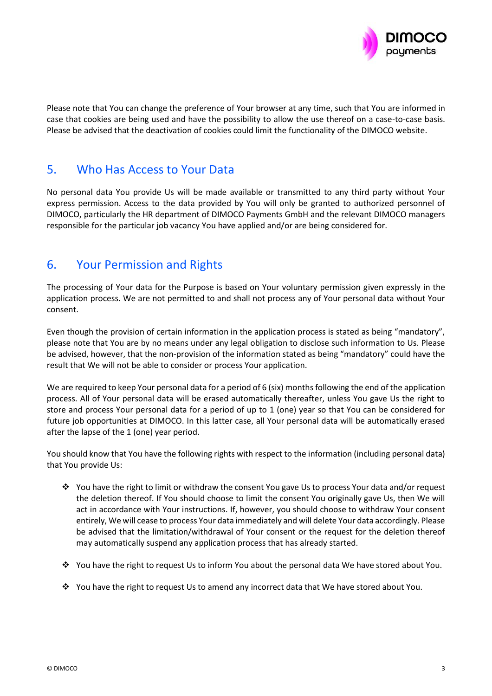

Please note that You can change the preference of Your browser at any time, such that You are informed in case that cookies are being used and have the possibility to allow the use thereof on a case-to-case basis. Please be advised that the deactivation of cookies could limit the functionality of the DIMOCO website.

### 5. Who Has Access to Your Data

No personal data You provide Us will be made available or transmitted to any third party without Your express permission. Access to the data provided by You will only be granted to authorized personnel of DIMOCO, particularly the HR department of DIMOCO Payments GmbH and the relevant DIMOCO managers responsible for the particular job vacancy You have applied and/or are being considered for.

## 6. Your Permission and Rights

The processing of Your data for the Purpose is based on Your voluntary permission given expressly in the application process. We are not permitted to and shall not process any of Your personal data without Your consent.

Even though the provision of certain information in the application process is stated as being "mandatory", please note that You are by no means under any legal obligation to disclose such information to Us. Please be advised, however, that the non-provision of the information stated as being "mandatory" could have the result that We will not be able to consider or process Your application.

We are required to keep Your personal data for a period of 6 (six) months following the end of the application process. All of Your personal data will be erased automatically thereafter, unless You gave Us the right to store and process Your personal data for a period of up to 1 (one) year so that You can be considered for future job opportunities at DIMOCO. In this latter case, all Your personal data will be automatically erased after the lapse of the 1 (one) year period.

You should know that You have the following rights with respect to the information (including personal data) that You provide Us:

- ❖ You have the right to limit or withdraw the consent You gave Us to process Your data and/or request the deletion thereof. If You should choose to limit the consent You originally gave Us, then We will act in accordance with Your instructions. If, however, you should choose to withdraw Your consent entirely, We will cease to process Your data immediately and will delete Your data accordingly. Please be advised that the limitation/withdrawal of Your consent or the request for the deletion thereof may automatically suspend any application process that has already started.
- ❖ You have the right to request Us to inform You about the personal data We have stored about You.
- ❖ You have the right to request Us to amend any incorrect data that We have stored about You.